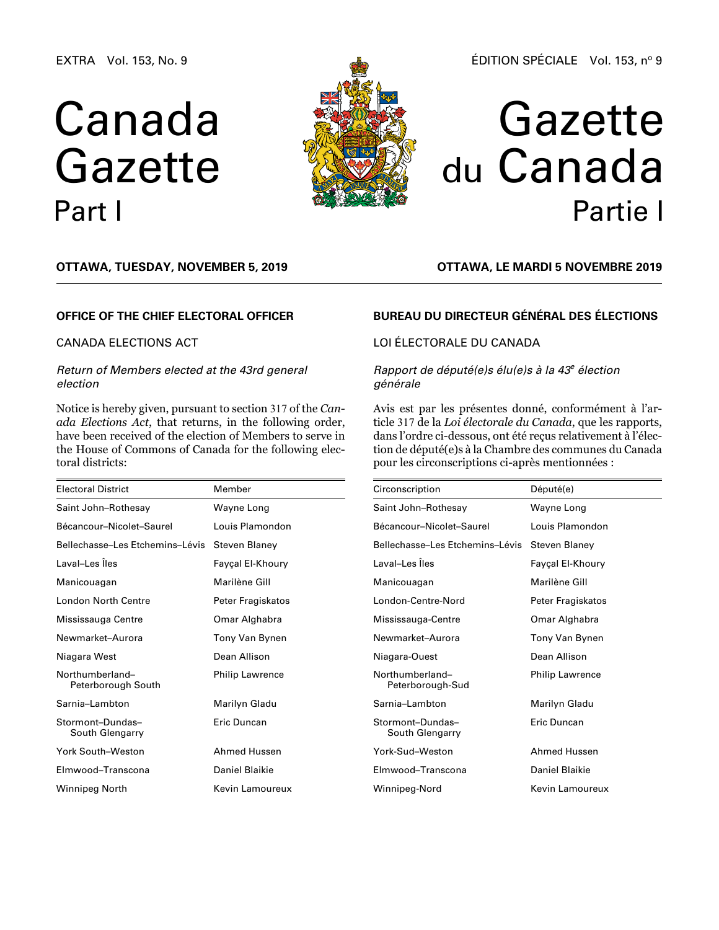EXTRA Vol. 153, No. 9

# Canada Gazette Part I



#### ÉDITION SPÉCIALE Vol. 153, nº 9

## Gazette du Canada Partie I

**OTTAWA, Tuesday, November 5, 2019**

#### **OFFICE OF THE CHIEF ELECTORAL OFFICER**

#### CANADA ELECTIONS ACT

#### *Return of Members elected at the 43rd general election*

Notice is hereby given, pursuant to section 317 of the *Canada Elections Act*, that returns, in the following order, have been received of the election of Members to serve in the House of Commons of Canada for the following electoral districts:

| <b>Electoral District</b>             | Member                 |  |
|---------------------------------------|------------------------|--|
| Saint John-Rothesay                   | Wayne Long             |  |
| Bécancour-Nicolet-Saurel              | Louis Plamondon        |  |
| Bellechasse-Les Etchemins-Lévis       | <b>Steven Blaney</b>   |  |
| Laval–Les Îles                        | Fayçal El-Khoury       |  |
| Manicouagan                           | Marilène Gill          |  |
| <b>London North Centre</b>            | Peter Fragiskatos      |  |
| Mississauga Centre                    | Omar Alghabra          |  |
| Newmarket-Aurora                      | Tony Van Bynen         |  |
| Niagara West                          | Dean Allison           |  |
| Northumberland-<br>Peterborough South | <b>Philip Lawrence</b> |  |
| Sarnia-Lambton                        | Marilyn Gladu          |  |
| Stormont-Dundas-<br>South Glengarry   | Eric Duncan            |  |
| York South-Weston                     | <b>Ahmed Hussen</b>    |  |
| Elmwood-Transcona                     | Daniel Blaikie         |  |
| Winnipeg North                        | Kevin Lamoureux        |  |

### **BUREAU DU DIRECTEUR GÉNÉRAL DES ÉLECTIONS**

**OTTAWA, LE mardi 5 novembre 2019**

### LOI ÉLECTORALE DU CANADA

#### *Rapport de député(e)s élu(e)s à la 43e élection générale*

Avis est par les présentes donné, conformément à l'article 317 de la *Loi électorale du Canada*, que les rapports, dans l'ordre ci-dessous, ont été reçus relativement à l'élection de député(e)s à la Chambre des communes du Canada pour les circonscriptions ci-après mentionnées :

| Circonscription                     | Député(e)              |  |
|-------------------------------------|------------------------|--|
| Saint John-Rothesay                 | Wayne Long             |  |
| Bécancour-Nicolet-Saurel            | Louis Plamondon        |  |
| Bellechasse-Les Etchemins-Lévis     | Steven Blaney          |  |
| Laval-Les Îles                      | Fayçal El-Khoury       |  |
| Manicouagan                         | Marilène Gill          |  |
| London-Centre-Nord                  | Peter Fragiskatos      |  |
| Mississauga-Centre                  | Omar Alghabra          |  |
| Newmarket-Aurora                    | Tony Van Bynen         |  |
| Niagara-Ouest                       | Dean Allison           |  |
| Northumberland-<br>Peterborough-Sud | <b>Philip Lawrence</b> |  |
| Sarnia-Lambton                      | Marilyn Gladu          |  |
| Stormont-Dundas-<br>South Glengarry | Eric Duncan            |  |
| York-Sud-Weston                     | Ahmed Hussen           |  |
| Elmwood-Transcona                   | Daniel Blaikie         |  |
| Winnipeg-Nord                       | Kevin Lamoureux        |  |